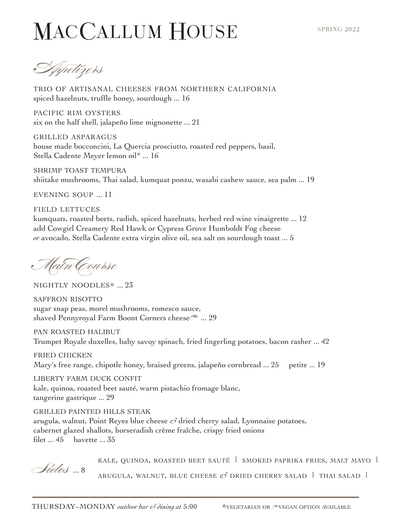## MACCALLUM HOUSE

Appetizers

trio of artisanal cheeses from northern california spiced hazelnuts, truffle honey, sourdough ... 16

pacific rim oysters six on the half shell, jalapeño lime mignonette ... 21

grilled asparagus house made bocconcini, La Quercia prosciutto, roasted red peppers, basil, Stella Cadente Meyer lemon oil\* ... 16

shrimp toast tempura shiitake mushrooms, Thai salad, kumquat ponzu, wasabi cashew sauce, sea palm ... 19

evening soup ... 11

field lettuces kumquats, roasted beets, radish, spiced hazelnuts, herbed red wine vinaigrette ... 12 add Cowgirl Creamery Red Hawk or Cypress Grove Humboldt Fog cheese *or* avocado, Stella Cadente extra virgin olive oil, sea salt on sourdough toast ... 5

Main Course

nightly noodles\* ... 23

saffron risotto sugar snap peas, morel mushrooms, romesco sauce, shaved Pennyroyal Farm Boont Corners cheese<sup>2</sup> ... 29

pan roasted halibut Trumpet Royale duxelles, baby savoy spinach, fried fingerling potatoes, bacon rasher ... 42

fried chicken Mary's free range, chipotle honey, braised greens, jalapeño cornbread ... 25 petite ... 19

liberty farm duck confit kale, quinoa, roasted beet sauté, warm pistachio fromage blanc, tangerine gastrique ... 29

grilled painted hills steak arugula, walnut, Point Reyes blue cheese *&* dried cherry salad, Lyonnaise potatoes, cabernet glazed shallots, horseradish crème fraîche, crispy fried onions filet ... 45 bavette ... 35

Kale, quinoa, roasted beet sauté | smoked paprika fries, malt mayo | **Algeles** ... 8 Arugula, walnut, blue cheese *&* dried cherry salad | thai salad |